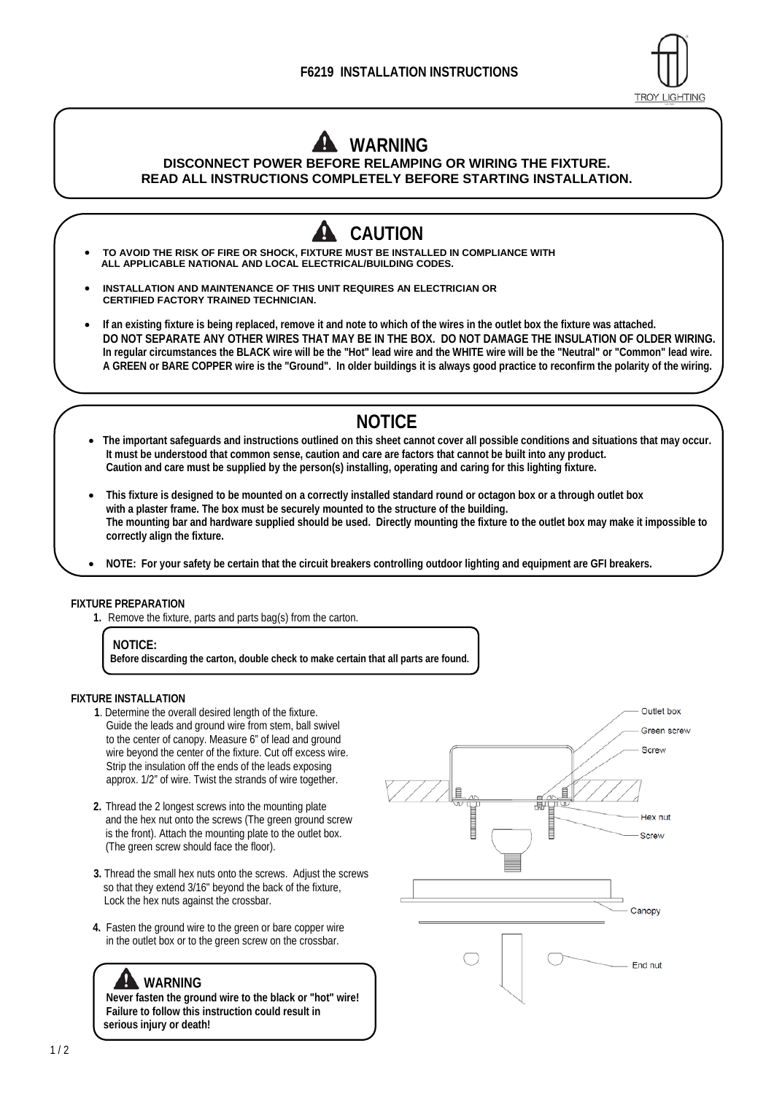### **F6219 INSTALLATION INSTRUCTIONS**



## **WARNING DISCONNECT POWER BEFORE RELAMPING OR WIRING THE FIXTURE.**

**READ ALL INSTRUCTIONS COMPLETELY BEFORE STARTING INSTALLATION.**

**CAUTION TO AVOID THE RISK OF FIRE OR SHOCK, FIXTURE MUST BE INSTALLED IN COMPLIANCE WITH ALL APPLICABLE NATIONAL AND LOCAL ELECTRICAL/BUILDING CODES. INSTALLATION AND MAINTENANCE OF THIS UNIT REQUIRES AN ELECTRICIAN OR CERTIFIED FACTORY TRAINED TECHNICIAN. If an existing fixture is being replaced, remove it and note to which of the wires in the outlet box the fixture was attached. DO NOT SEPARATE ANY OTHER WIRES THAT MAY BE IN THE BOX. DO NOT DAMAGE THE INSULATION OF OLDER WIRING. In regular circumstances the BLACK wire will be the "Hot" lead wire and the WHITE wire will be the "Neutral" or "Common" lead wire. A GREEN or BARE COPPER wire is the "Ground". In older buildings it is always good practice to reconfirm the polarity of the wiring.** 

# **NOTICE**

- **The important safeguards and instructions outlined on this sheet cannot cover all possible conditions and situations that may occur. It must be understood that common sense, caution and care are factors that cannot be built into any product. Caution and care must be supplied by the person(s) installing, operating and caring for this lighting fixture.**
- **This fixture is designed to be mounted on a correctly installed standard round or octagon box or a through outlet box with a plaster frame. The box must be securely mounted to the structure of the building. The mounting bar and hardware supplied should be used. Directly mounting the fixture to the outlet box may make it impossible to correctly align the fixture.**
- **NOTE: For your safety be certain that the circuit breakers controlling outdoor lighting and equipment are GFI breakers.**

#### **FIXTURE PREPARATION**

**1.** Remove the fixture, parts and parts bag(s) from the carton.

**Before discarding the carton, double check to make certain that all parts are found.** 

#### **FIXTURE INSTALLATION**

- **1**. Determine the overall desired length of the fixture. Guide the leads and ground wire from stem, ball swivel to the center of canopy. Measure 6" of lead and ground wire beyond the center of the fixture. Cut off excess wire. Strip the insulation off the ends of the leads exposing approx. 1/2" of wire. Twist the strands of wire together.
- **2.** Thread the 2 longest screws into the mounting plate and the hex nut onto the screws (The green ground screw is the front). Attach the mounting plate to the outlet box. (The green screw should face the floor).
- **3.** Thread the small hex nuts onto the screws. Adjust the screws so that they extend 3/16" beyond the back of the fixture, Lock the hex nuts against the crossbar.
- **4.** Fasten the ground wire to the green or bare copper wire in the outlet box or to the green screw on the crossbar.

### **WARNING**

**Never fasten the ground wire to the black or "hot" wire! Failure to follow this instruction could result in serious injury or death!** 



**NOTICE:**